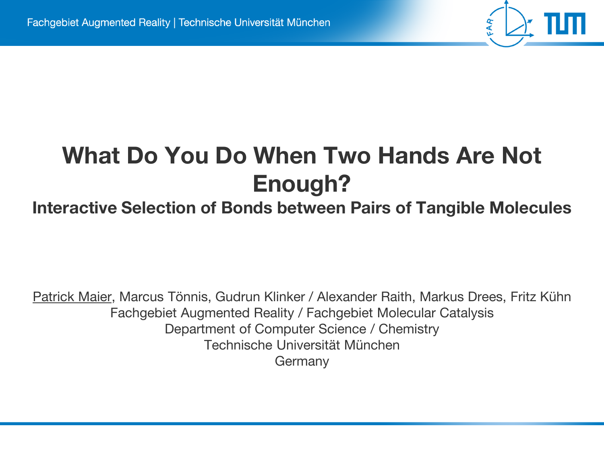# **What Do You Do When Two Hands Are Not Enough?**

#### **Interactive Selection of Bonds between Pairs of Tangible Molecules**

Patrick Maier, Marcus Tönnis, Gudrun Klinker / Alexander Raith, Markus Drees, Fritz Kühn Fachgebiet Augmented Reality / Fachgebiet Molecular Catalysis Department of Computer Science / Chemistry Technische Universität München Germany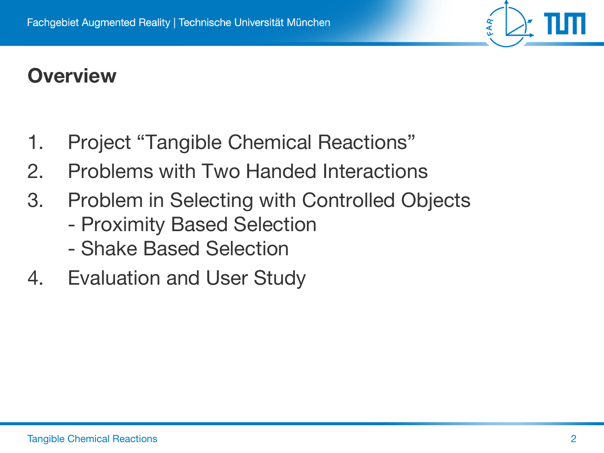#### **Overview**

- 1. Project "Tangible Chemical Reactions"
- 2. Problems with Two Handed Interactions
- 3. Problem in Selecting with Controlled Objects
	- Proximity Based Selection
	- Shake Based Selection
- 4. Evaluation and User Study

FAR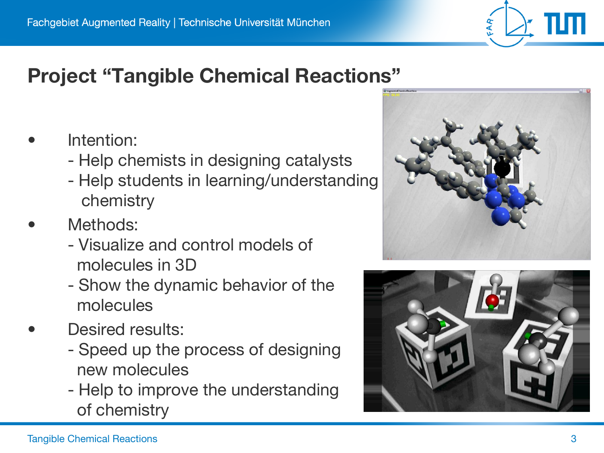

#### **Project "Tangible Chemical Reactions"**

- Intention:
	- Help chemists in designing catalysts
	- Help students in learning/understanding chemistry
- Methods:
	- Visualize and control models of molecules in 3D
	- Show the dynamic behavior of the molecules
- Desired results:
	- Speed up the process of designing new molecules
	- Help to improve the understanding of chemistry



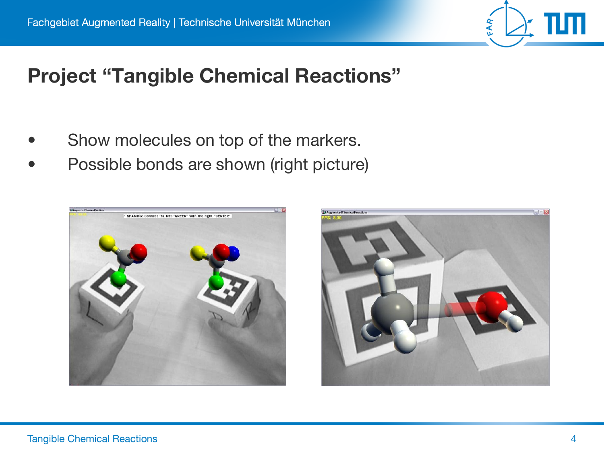

#### **Project "Tangible Chemical Reactions"**

- Show molecules on top of the markers.
- Possible bonds are shown (right picture)



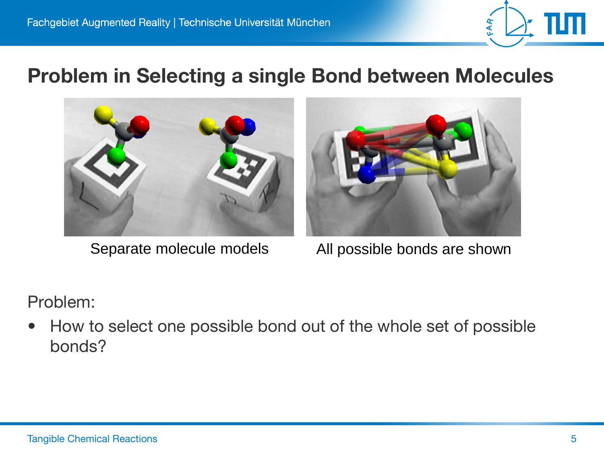

#### **Problem in Selecting a single Bond between Molecules**





Separate molecule models All possible bonds are shown

Problem:

How to select one possible bond out of the whole set of possible bonds?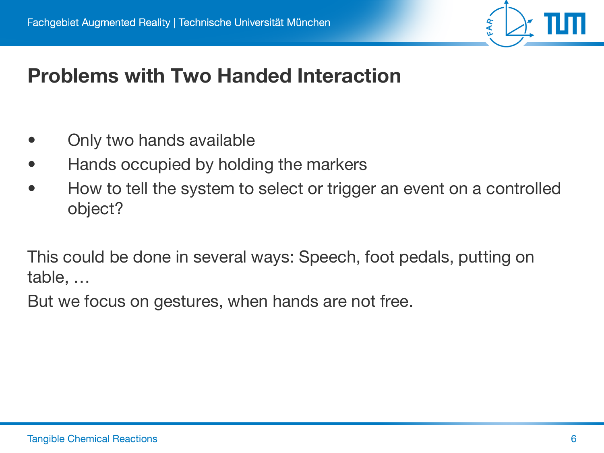#### **Problems with Two Handed Interaction**

- Only two hands available
- Hands occupied by holding the markers
- How to tell the system to select or trigger an event on a controlled object?

This could be done in several ways: Speech, foot pedals, putting on table, …

But we focus on gestures, when hands are not free.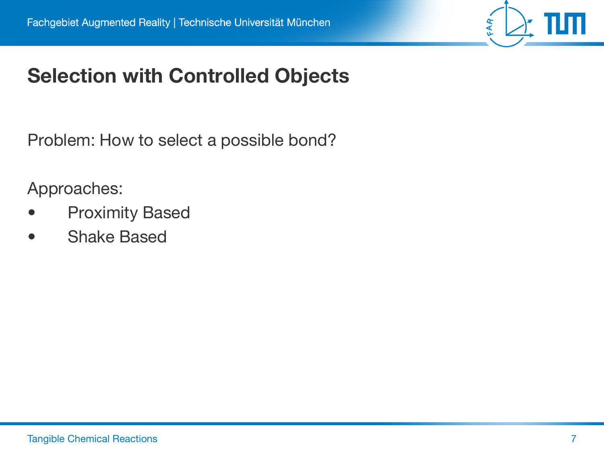

### **Selection with Controlled Objects**

Problem: How to select a possible bond?

Approaches:

- **Proximity Based**
- **Shake Based**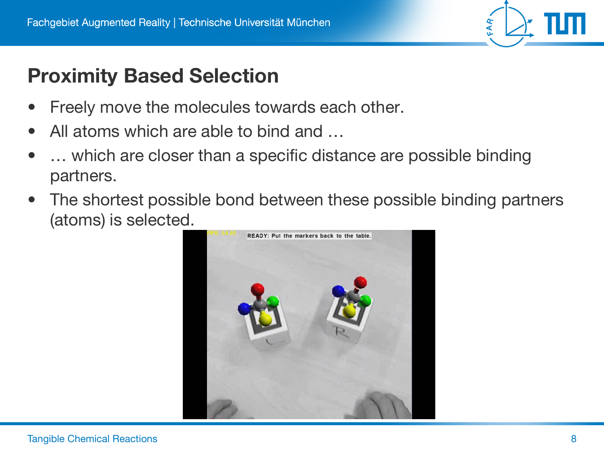# FAR

### **Proximity Based Selection**

- Freely move the molecules towards each other.
- All atoms which are able to bind and ...
- ... which are closer than a specific distance are possible binding partners.
- The shortest possible bond between these possible binding partners (atoms) is selected.

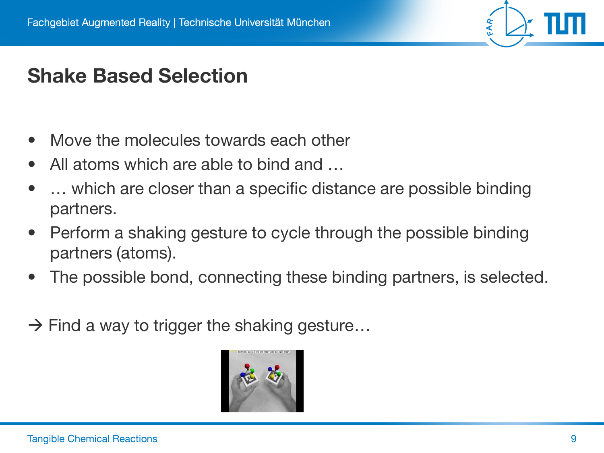

#### **Shake Based Selection**

- Move the molecules towards each other
- All atoms which are able to bind and ...
- ... which are closer than a specific distance are possible binding partners.
- Perform a shaking gesture to cycle through the possible binding partners (atoms).
- The possible bond, connecting these binding partners, is selected.
- $\rightarrow$  Find a way to trigger the shaking gesture...

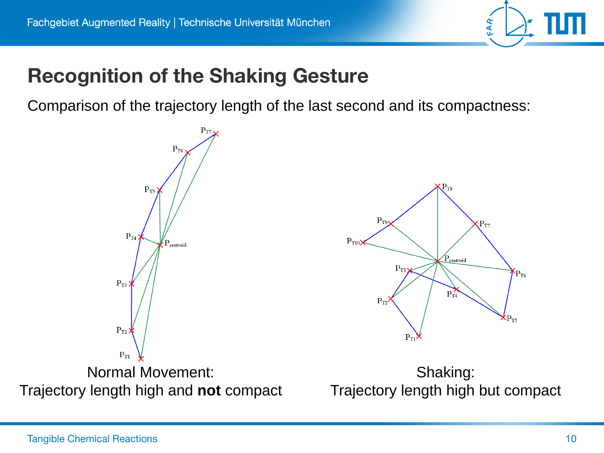

#### **Recognition of the Shaking Gesture**

Comparison of the trajectory length of the last second and its compactness:

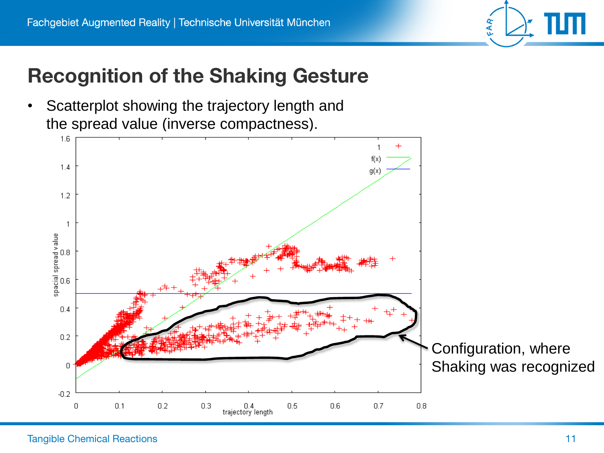

#### **Recognition of the Shaking Gesture**

Scatterplot showing the trajectory length and the spread value (inverse compactness).

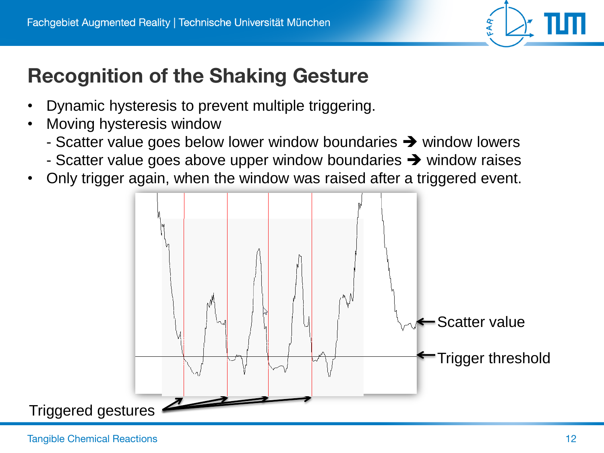

## **Recognition of the Shaking Gesture**

- Dynamic hysteresis to prevent multiple triggering.
- Moving hysteresis window
	- Scatter value goes below lower window boundaries  $\rightarrow$  window lowers
	- Scatter value goes above upper window boundaries  $\rightarrow$  window raises
- Only trigger again, when the window was raised after a triggered event.

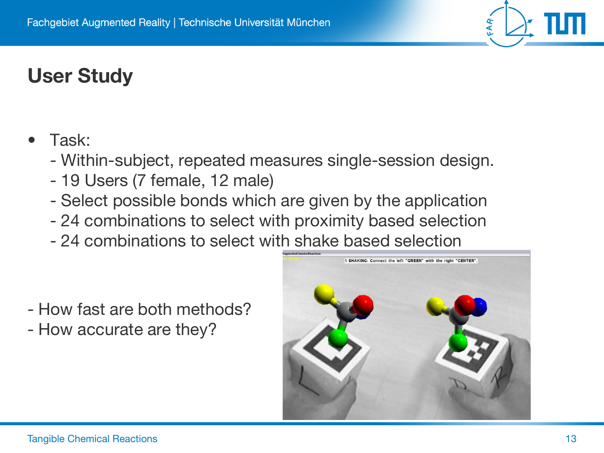## **User Study**

- Task:
	- Within-subject, repeated measures single-session design.
	- 19 Users (7 female, 12 male)
	- Select possible bonds which are given by the application
	- 24 combinations to select with proximity based selection
	- 24 combinations to select with shake based selection

- How fast are both methods?
- How accurate are they?



FAR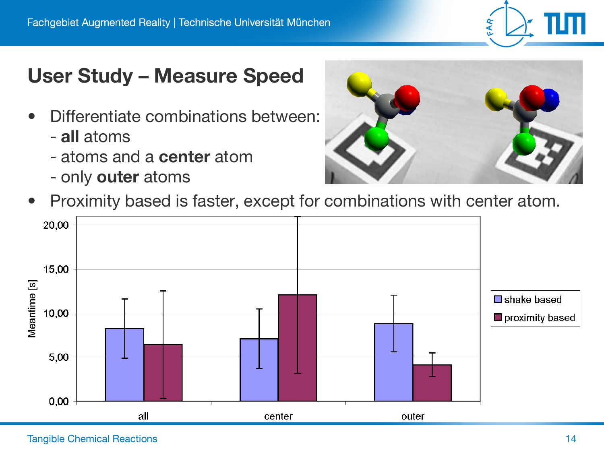

#### **User Study – Measure Speed**

- Differentiate combinations between:
	- **all** atoms
	- atoms and a **center** atom
	- only **outer** atoms



Proximity based is faster, except for combinations with center atom.

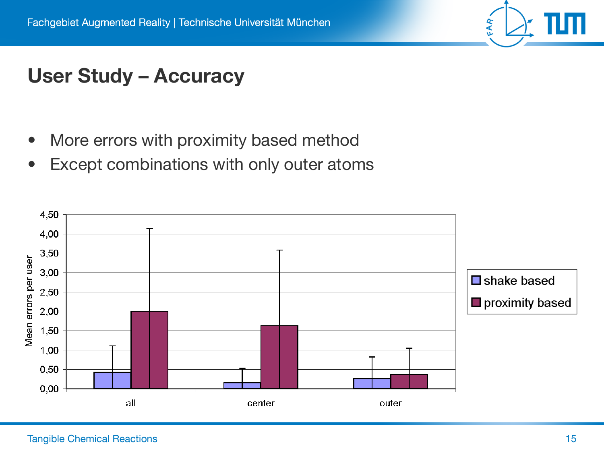

#### **User Study – Accuracy**

- More errors with proximity based method
- Except combinations with only outer atoms

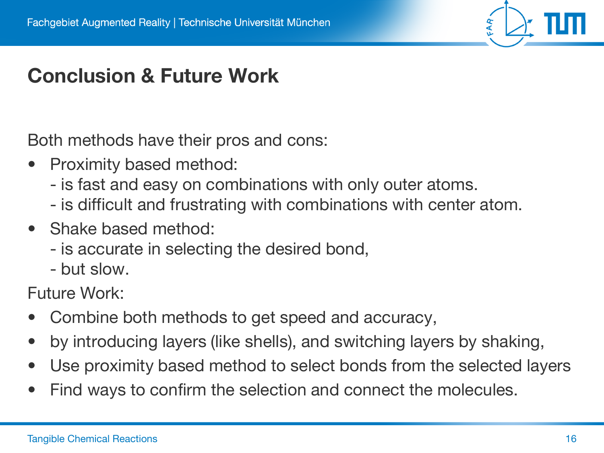## **Conclusion & Future Work**

Both methods have their pros and cons:

- Proximity based method:
	- is fast and easy on combinations with only outer atoms.
	- is difficult and frustrating with combinations with center atom.
- Shake based method:
	- is accurate in selecting the desired bond,
	- but slow.

Future Work:

- Combine both methods to get speed and accuracy,
- by introducing layers (like shells), and switching layers by shaking,
- Use proximity based method to select bonds from the selected layers
- Find ways to confirm the selection and connect the molecules.